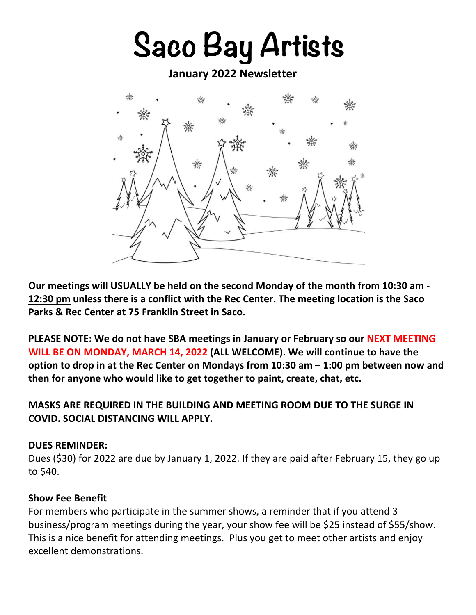# **Saco Bay Artists**

**January 2022 Newsletter**



**Our meetings will USUALLY be held on the second Monday of the month from 10:30 am - 12:30 pm unless there is a conflict with the Rec Center. The meeting location is the Saco Parks & Rec Center at 75 Franklin Street in Saco.** 

**PLEASE NOTE: We do not have SBA meetings in January or February so our NEXT MEETING WILL BE ON MONDAY, MARCH 14, 2022 (ALL WELCOME). We will continue to have the option to drop in at the Rec Center on Mondays from 10:30 am – 1:00 pm between now and then for anyone who would like to get together to paint, create, chat, etc.**

## **MASKS ARE REQUIRED IN THE BUILDING AND MEETING ROOM DUE TO THE SURGE IN COVID. SOCIAL DISTANCING WILL APPLY.**

#### **DUES REMINDER:**

Dues (\$30) for 2022 are due by January 1, 2022. If they are paid after February 15, they go up to \$40.

#### **Show Fee Benefit**

For members who participate in the summer shows, a reminder that if you attend 3 business/program meetings during the year, your show fee will be \$25 instead of \$55/show. This is a nice benefit for attending meetings. Plus you get to meet other artists and enjoy excellent demonstrations.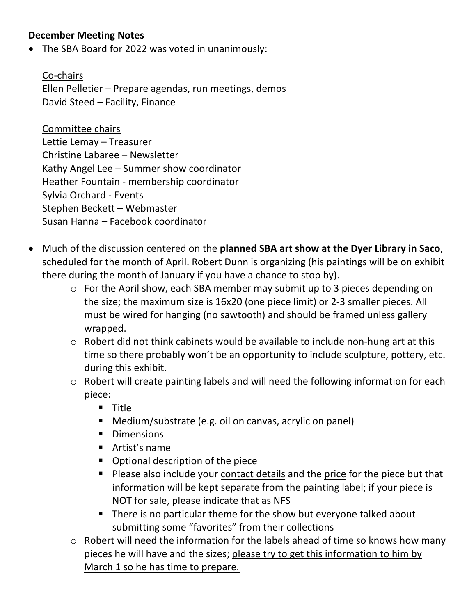## **December Meeting Notes**

• The SBA Board for 2022 was voted in unanimously:

Co-chairs Ellen Pelletier – Prepare agendas, run meetings, demos David Steed – Facility, Finance

Committee chairs Lettie Lemay – Treasurer Christine Labaree – Newsletter Kathy Angel Lee – Summer show coordinator Heather Fountain - membership coordinator Sylvia Orchard - Events Stephen Beckett – Webmaster Susan Hanna – Facebook coordinator

- Much of the discussion centered on the **planned SBA art show at the Dyer Library in Saco**, scheduled for the month of April. Robert Dunn is organizing (his paintings will be on exhibit there during the month of January if you have a chance to stop by).
	- o For the April show, each SBA member may submit up to 3 pieces depending on the size; the maximum size is 16x20 (one piece limit) or 2-3 smaller pieces. All must be wired for hanging (no sawtooth) and should be framed unless gallery wrapped.
	- o Robert did not think cabinets would be available to include non-hung art at this time so there probably won't be an opportunity to include sculpture, pottery, etc. during this exhibit.
	- o Robert will create painting labels and will need the following information for each piece:
		- § Title
		- Medium/substrate (e.g. oil on canvas, acrylic on panel)
		- Dimensions
		- Artist's name
		- Optional description of the piece
		- Please also include your contact details and the price for the piece but that information will be kept separate from the painting label; if your piece is NOT for sale, please indicate that as NFS
		- There is no particular theme for the show but everyone talked about submitting some "favorites" from their collections
	- o Robert will need the information for the labels ahead of time so knows how many pieces he will have and the sizes; please try to get this information to him by March 1 so he has time to prepare.